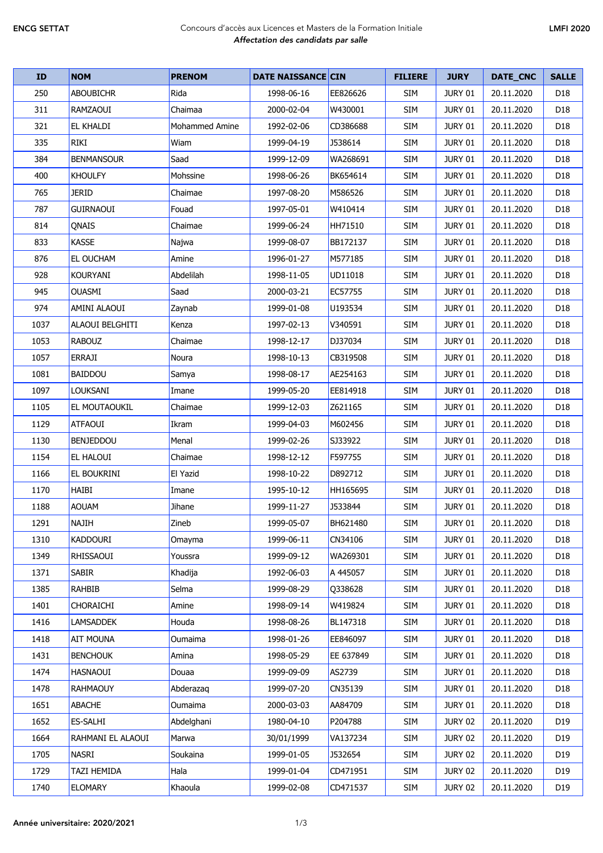## ENCG SETTAT Concours d'accès aux Licences et Masters de la Formation Initiale *Affectation des candidats par salle*

| ID   | <b>NOM</b>        | <b>PRENOM</b>  | <b>DATE NAISSANCE CIN</b> |           | <b>FILIERE</b> | <b>JURY</b>    | DATE_CNC   | <b>SALLE</b>    |
|------|-------------------|----------------|---------------------------|-----------|----------------|----------------|------------|-----------------|
| 250  | ABOUBICHR         | Rida           | 1998-06-16                | EE826626  | <b>SIM</b>     | <b>JURY 01</b> | 20.11.2020 | D18             |
| 311  | <b>RAMZAOUI</b>   | Chaimaa        | 2000-02-04                | W430001   | SIM            | <b>JURY 01</b> | 20.11.2020 | D <sub>18</sub> |
| 321  | <b>EL KHALDI</b>  | Mohammed Amine | 1992-02-06                | CD386688  | <b>SIM</b>     | <b>JURY 01</b> | 20.11.2020 | D <sub>18</sub> |
| 335  | RIKI              | Wiam           | 1999-04-19                | J538614   | SIM            | <b>JURY 01</b> | 20.11.2020 | D18             |
| 384  | <b>BENMANSOUR</b> | Saad           | 1999-12-09                | WA268691  | <b>SIM</b>     | <b>JURY 01</b> | 20.11.2020 | D <sub>18</sub> |
| 400  | <b>KHOULFY</b>    | Mohssine       | 1998-06-26                | BK654614  | SIM            | JURY 01        | 20.11.2020 | D <sub>18</sub> |
| 765  | <b>JERID</b>      | Chaimae        | 1997-08-20                | M586526   | <b>SIM</b>     | <b>JURY 01</b> | 20.11.2020 | D18             |
| 787  | <b>GUIRNAOUI</b>  | Fouad          | 1997-05-01                | W410414   | <b>SIM</b>     | <b>JURY 01</b> | 20.11.2020 | D <sub>18</sub> |
| 814  | QNAIS             | Chaimae        | 1999-06-24                | HH71510   | SIM            | <b>JURY 01</b> | 20.11.2020 | D18             |
| 833  | <b>KASSE</b>      | Najwa          | 1999-08-07                | BB172137  | <b>SIM</b>     | <b>JURY 01</b> | 20.11.2020 | D <sub>18</sub> |
| 876  | EL OUCHAM         | Amine          | 1996-01-27                | M577185   | SIM            | <b>JURY 01</b> | 20.11.2020 | D <sub>18</sub> |
| 928  | <b>KOURYANI</b>   | Abdelilah      | 1998-11-05                | UD11018   | <b>SIM</b>     | <b>JURY 01</b> | 20.11.2020 | D <sub>18</sub> |
| 945  | <b>OUASMI</b>     | Saad           | 2000-03-21                | EC57755   | SIM            | <b>JURY 01</b> | 20.11.2020 | D <sub>18</sub> |
| 974  | AMINI ALAOUI      | Zaynab         | 1999-01-08                | U193534   | <b>SIM</b>     | <b>JURY 01</b> | 20.11.2020 | D <sub>18</sub> |
| 1037 | ALAOUI BELGHITI   | Kenza          | 1997-02-13                | V340591   | <b>SIM</b>     | <b>JURY 01</b> | 20.11.2020 | D <sub>18</sub> |
| 1053 | <b>RABOUZ</b>     | Chaimae        | 1998-12-17                | DJ37034   | <b>SIM</b>     | <b>JURY 01</b> | 20.11.2020 | D <sub>18</sub> |
| 1057 | <b>ERRAJI</b>     | Noura          | 1998-10-13                | CB319508  | <b>SIM</b>     | <b>JURY 01</b> | 20.11.2020 | D <sub>18</sub> |
| 1081 | BAIDDOU           | Samya          | 1998-08-17                | AE254163  | SIM            | <b>JURY 01</b> | 20.11.2020 | D18             |
| 1097 | LOUKSANI          | Imane          | 1999-05-20                | EE814918  | SIM            | <b>JURY 01</b> | 20.11.2020 | D18             |
| 1105 | EL MOUTAOUKIL     | Chaimae        | 1999-12-03                | Z621165   | SIM            | <b>JURY 01</b> | 20.11.2020 | D <sub>18</sub> |
| 1129 | <b>ATFAOUI</b>    | Ikram          | 1999-04-03                | M602456   | <b>SIM</b>     | <b>JURY 01</b> | 20.11.2020 | D <sub>18</sub> |
| 1130 | <b>BENJEDDOU</b>  | Menal          | 1999-02-26                | SJ33922   | <b>SIM</b>     | <b>JURY 01</b> | 20.11.2020 | D <sub>18</sub> |
| 1154 | <b>EL HALOUI</b>  | Chaimae        | 1998-12-12                | F597755   | <b>SIM</b>     | <b>JURY 01</b> | 20.11.2020 | D <sub>18</sub> |
| 1166 | EL BOUKRINI       | El Yazid       | 1998-10-22                | D892712   | <b>SIM</b>     | <b>JURY 01</b> | 20.11.2020 | D <sub>18</sub> |
| 1170 | <b>HAIBI</b>      | Imane          | 1995-10-12                | HH165695  | <b>SIM</b>     | <b>JURY 01</b> | 20.11.2020 | D18             |
| 1188 | <b>AOUAM</b>      | Jihane         | 1999-11-27                | J533844   | SIM            | <b>JURY 01</b> | 20.11.2020 | D <sub>18</sub> |
| 1291 | <b>NAJIH</b>      | Zineb          | 1999-05-07                | BH621480  | <b>SIM</b>     | <b>JURY 01</b> | 20.11.2020 | D18             |
| 1310 | <b>KADDOURI</b>   | Omayma         | 1999-06-11                | CN34106   | <b>SIM</b>     | <b>JURY 01</b> | 20.11.2020 | D18             |
| 1349 | <b>RHISSAOUI</b>  | Youssra        | 1999-09-12                | WA269301  | SIM            | <b>JURY 01</b> | 20.11.2020 | D18             |
| 1371 | <b>SABIR</b>      | Khadija        | 1992-06-03                | A 445057  | SIM            | <b>JURY 01</b> | 20.11.2020 | D18             |
| 1385 | <b>RAHBIB</b>     | Selma          | 1999-08-29                | Q338628   | SIM            | <b>JURY 01</b> | 20.11.2020 | D18             |
| 1401 | <b>CHORAICHI</b>  | Amine          | 1998-09-14                | W419824   | <b>SIM</b>     | <b>JURY 01</b> | 20.11.2020 | D18             |
| 1416 | <b>LAMSADDEK</b>  | Houda          | 1998-08-26                | BL147318  | <b>SIM</b>     | <b>JURY 01</b> | 20.11.2020 | D18             |
| 1418 | <b>AIT MOUNA</b>  | Oumaima        | 1998-01-26                | EE846097  | <b>SIM</b>     | <b>JURY 01</b> | 20.11.2020 | D18             |
| 1431 | <b>BENCHOUK</b>   | Amina          | 1998-05-29                | EE 637849 | SIM            | <b>JURY 01</b> | 20.11.2020 | D18             |
| 1474 | <b>HASNAOUI</b>   | Douaa          | 1999-09-09                | AS2739    | SIM            | <b>JURY 01</b> | 20.11.2020 | D <sub>18</sub> |
| 1478 | <b>RAHMAOUY</b>   | Abderazag      | 1999-07-20                | CN35139   | <b>SIM</b>     | <b>JURY 01</b> | 20.11.2020 | D18             |
| 1651 | <b>ABACHE</b>     | Oumaima        | 2000-03-03                | AA84709   | SIM            | JURY 01        | 20.11.2020 | D18             |
| 1652 | ES-SALHI          | Abdelghani     | 1980-04-10                | P204788   | SIM            | <b>JURY 02</b> | 20.11.2020 | D19             |
| 1664 | RAHMANI EL ALAOUI | Marwa          | 30/01/1999                | VA137234  | SIM            | <b>JURY 02</b> | 20.11.2020 | D <sub>19</sub> |
| 1705 | <b>NASRI</b>      | Soukaina       | 1999-01-05                | J532654   | <b>SIM</b>     | <b>JURY 02</b> | 20.11.2020 | D19             |
| 1729 | TAZI HEMIDA       | Hala           | 1999-01-04                | CD471951  | <b>SIM</b>     | <b>JURY 02</b> | 20.11.2020 | D19             |
| 1740 | <b>ELOMARY</b>    | Khaoula        | 1999-02-08                | CD471537  | SIM            | <b>JURY 02</b> | 20.11.2020 | D19             |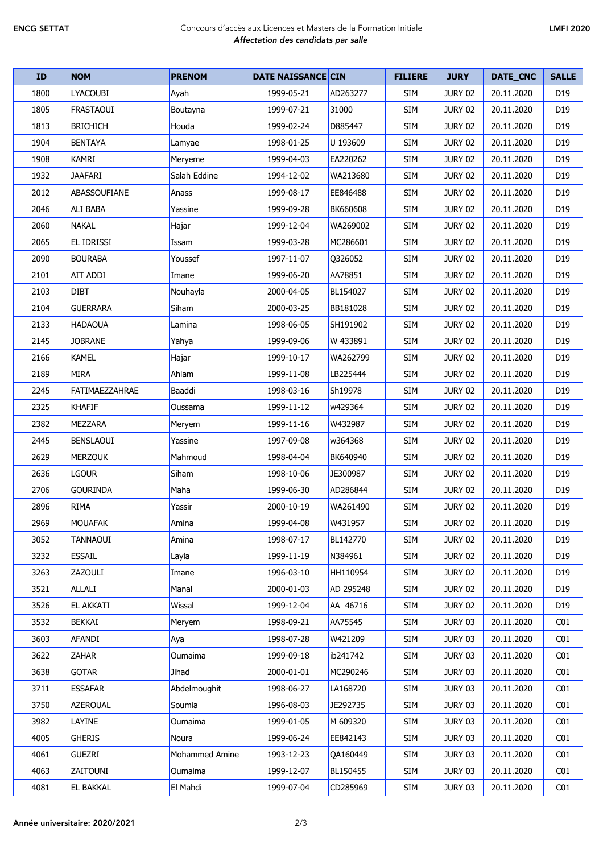## ENCG SETTAT Concours d'accès aux Licences et Masters de la Formation Initiale *Affectation des candidats par salle*

| <b>ID</b> | <b>NOM</b>          | <b>PRENOM</b>         | <b>DATE NAISSANCE CIN</b> |           | <b>FILIERE</b> | <b>JURY</b>    | DATE_CNC   | <b>SALLE</b>    |
|-----------|---------------------|-----------------------|---------------------------|-----------|----------------|----------------|------------|-----------------|
| 1800      | LYACOUBI            | Ayah                  | 1999-05-21                | AD263277  | <b>SIM</b>     | <b>JURY 02</b> | 20.11.2020 | D19             |
| 1805      | FRASTAOUI           | Boutayna              | 1999-07-21                | 31000     | <b>SIM</b>     | <b>JURY 02</b> | 20.11.2020 | D19             |
| 1813      | <b>BRICHICH</b>     | Houda                 | 1999-02-24                | D885447   | <b>SIM</b>     | <b>JURY 02</b> | 20.11.2020 | D <sub>19</sub> |
| 1904      | <b>BENTAYA</b>      | Lamyae                | 1998-01-25                | U 193609  | <b>SIM</b>     | <b>JURY 02</b> | 20.11.2020 | D <sub>19</sub> |
| 1908      | <b>KAMRI</b>        | Meryeme               | 1999-04-03                | EA220262  | <b>SIM</b>     | <b>JURY 02</b> | 20.11.2020 | D <sub>19</sub> |
| 1932      | <b>JAAFARI</b>      | Salah Eddine          | 1994-12-02                | WA213680  | <b>SIM</b>     | <b>JURY 02</b> | 20.11.2020 | D <sub>19</sub> |
| 2012      | <b>ABASSOUFIANE</b> | Anass                 | 1999-08-17                | EE846488  | <b>SIM</b>     | <b>JURY 02</b> | 20.11.2020 | D <sub>19</sub> |
| 2046      | <b>ALI BABA</b>     | Yassine               | 1999-09-28                | BK660608  | <b>SIM</b>     | <b>JURY 02</b> | 20.11.2020 | D19             |
| 2060      | <b>NAKAL</b>        | Hajar                 | 1999-12-04                | WA269002  | <b>SIM</b>     | <b>JURY 02</b> | 20.11.2020 | D <sub>19</sub> |
| 2065      | <b>EL IDRISSI</b>   | Issam                 | 1999-03-28                | MC286601  | <b>SIM</b>     | <b>JURY 02</b> | 20.11.2020 | D19             |
| 2090      | <b>BOURABA</b>      | Youssef               | 1997-11-07                | Q326052   | <b>SIM</b>     | <b>JURY 02</b> | 20.11.2020 | D <sub>19</sub> |
| 2101      | AIT ADDI            | Imane                 | 1999-06-20                | AA78851   | <b>SIM</b>     | <b>JURY 02</b> | 20.11.2020 | D <sub>19</sub> |
| 2103      | DIBT                | Nouhayla              | 2000-04-05                | BL154027  | <b>SIM</b>     | <b>JURY 02</b> | 20.11.2020 | D <sub>19</sub> |
| 2104      | <b>GUERRARA</b>     | Siham                 | 2000-03-25                | BB181028  | <b>SIM</b>     | <b>JURY 02</b> | 20.11.2020 | D <sub>19</sub> |
| 2133      | <b>HADAOUA</b>      | Lamina                | 1998-06-05                | SH191902  | <b>SIM</b>     | <b>JURY 02</b> | 20.11.2020 | D <sub>19</sub> |
| 2145      | <b>JOBRANE</b>      | Yahya                 | 1999-09-06                | W 433891  | <b>SIM</b>     | JURY 02        | 20.11.2020 | D19             |
| 2166      | <b>KAMEL</b>        | Hajar                 | 1999-10-17                | WA262799  | <b>SIM</b>     | JURY 02        | 20.11.2020 | D <sub>19</sub> |
| 2189      | <b>MIRA</b>         | Ahlam                 | 1999-11-08                | LB225444  | <b>SIM</b>     | <b>JURY 02</b> | 20.11.2020 | D <sub>19</sub> |
| 2245      | FATIMAEZZAHRAE      | Baaddi                | 1998-03-16                | Sh19978   | <b>SIM</b>     | JURY 02        | 20.11.2020 | D <sub>19</sub> |
| 2325      | <b>KHAFIF</b>       | Oussama               | 1999-11-12                | w429364   | <b>SIM</b>     | <b>JURY 02</b> | 20.11.2020 | D <sub>19</sub> |
| 2382      | MEZZARA             | Meryem                | 1999-11-16                | W432987   | <b>SIM</b>     | <b>JURY 02</b> | 20.11.2020 | D <sub>19</sub> |
| 2445      | <b>BENSLAOUI</b>    | Yassine               | 1997-09-08                | w364368   | <b>SIM</b>     | <b>JURY 02</b> | 20.11.2020 | D <sub>19</sub> |
| 2629      | <b>MERZOUK</b>      | Mahmoud               | 1998-04-04                | BK640940  | <b>SIM</b>     | <b>JURY 02</b> | 20.11.2020 | D <sub>19</sub> |
| 2636      | lgour               | Siham                 | 1998-10-06                | JE300987  | <b>SIM</b>     | <b>JURY 02</b> | 20.11.2020 | D <sub>19</sub> |
| 2706      | <b>GOURINDA</b>     | Maha                  | 1999-06-30                | AD286844  | <b>SIM</b>     | <b>JURY 02</b> | 20.11.2020 | D <sub>19</sub> |
| 2896      | <b>RIMA</b>         | Yassir                | 2000-10-19                | WA261490  | <b>SIM</b>     | <b>JURY 02</b> | 20.11.2020 | D19             |
| 2969      | MOUAFAK             | Amina                 | 1999-04-08                | W431957   | <b>SIM</b>     | <b>JURY 02</b> | 20.11.2020 | D19             |
| 3052      | TANNAOUI            | Amina                 | 1998-07-17                | BL142770  | <b>SIM</b>     | <b>JURY 02</b> | 20.11.2020 | D <sub>19</sub> |
| 3232      | <b>ESSAIL</b>       | Layla                 | 1999-11-19                | N384961   | <b>SIM</b>     | <b>JURY 02</b> | 20.11.2020 | D <sub>19</sub> |
| 3263      | ZAZOULI             | Imane                 | 1996-03-10                | HH110954  | <b>SIM</b>     | <b>JURY 02</b> | 20.11.2020 | D19             |
| 3521      | ALLALI              | Manal                 | 2000-01-03                | AD 295248 | SIM            | <b>JURY 02</b> | 20.11.2020 | D19             |
| 3526      | <b>EL AKKATI</b>    | Wissal                | 1999-12-04                | AA 46716  | <b>SIM</b>     | <b>JURY 02</b> | 20.11.2020 | D19             |
| 3532      | <b>BEKKAI</b>       | Meryem                | 1998-09-21                | AA75545   | <b>SIM</b>     | JURY 03        | 20.11.2020 | CO <sub>1</sub> |
| 3603      | <b>AFANDI</b>       | Aya                   | 1998-07-28                | W421209   | <b>SIM</b>     | JURY 03        | 20.11.2020 | CO <sub>1</sub> |
| 3622      | ZAHAR               | Oumaima               | 1999-09-18                | ib241742  | <b>SIM</b>     | JURY 03        | 20.11.2020 | CO <sub>1</sub> |
| 3638      | <b>GOTAR</b>        | Jihad                 | 2000-01-01                | MC290246  | <b>SIM</b>     | JURY 03        | 20.11.2020 | CO1             |
| 3711      | <b>ESSAFAR</b>      | Abdelmoughit          | 1998-06-27                | LA168720  | <b>SIM</b>     | JURY 03        | 20.11.2020 | CO <sub>1</sub> |
| 3750      | <b>AZEROUAL</b>     | Soumia                | 1996-08-03                | JE292735  | <b>SIM</b>     | JURY 03        | 20.11.2020 | CO1             |
| 3982      | LAYINE              | Oumaima               | 1999-01-05                | M 609320  | <b>SIM</b>     | JURY 03        | 20.11.2020 | CO <sub>1</sub> |
| 4005      | <b>GHERIS</b>       | Noura                 | 1999-06-24                | EE842143  | <b>SIM</b>     | JURY 03        | 20.11.2020 | CO <sub>1</sub> |
| 4061      | <b>GUEZRI</b>       | <b>Mohammed Amine</b> | 1993-12-23                | QA160449  | SIM            | JURY 03        | 20.11.2020 | CO1             |
| 4063      | ZAITOUNI            | Oumaima               | 1999-12-07                | BL150455  | SIM            | JURY 03        | 20.11.2020 | C <sub>01</sub> |
| 4081      | <b>EL BAKKAL</b>    | El Mahdi              | 1999-07-04                | CD285969  | <b>SIM</b>     | JURY 03        | 20.11.2020 | CO <sub>1</sub> |